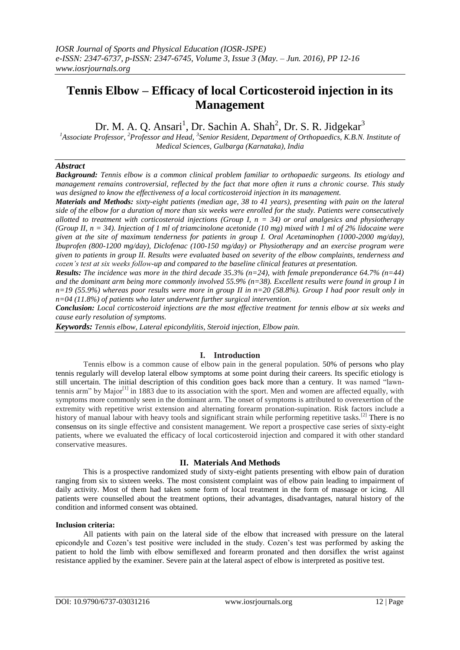# **Tennis Elbow – Efficacy of local Corticosteroid injection in its Management**

Dr. M. A. Q. Ansari<sup>1</sup>, Dr. Sachin A. Shah<sup>2</sup>, Dr. S. R. Jidgekar<sup>3</sup>

<sup>1</sup> Associate Professor, <sup>2</sup> Professor and Head, <sup>3</sup> Senior Resident, Department of Orthopaedics, K.B.N. Institute of *Medical Sciences, Gulbarga (Karnataka), India*

# *Abstract*

*Background: Tennis elbow is a common clinical problem familiar to orthopaedic surgeons. Its etiology and management remains controversial, reflected by the fact that more often it runs a chronic course. This study was designed to know the effectiveness of a local corticosteroid injection in its management.*

*Materials and Methods: sixty-eight patients (median age, 38 to 41 years), presenting with pain on the lateral side of the elbow for a duration of more than six weeks were enrolled for the study. Patients were consecutively allotted to treatment with corticosteroid injections (Group I, n = 34) or oral analgesics and physiotherapy (Group II, n = 34). Injection of 1 ml of triamcinolone acetonide (10 mg) mixed with 1 ml of 2% lidocaine were given at the site of maximum tenderness for patients in group I. Oral Acetaminophen (1000-2000 mg/day), Ibuprofen (800-1200 mg/day), Diclofenac (100-150 mg/day) or Physiotherapy and an exercise program were given to patients in group II. Results were evaluated based on severity of the elbow complaints, tenderness and cozen's test at six weeks follow-up and compared to the baseline clinical features at presentation.*

*Results: The incidence was more in the third decade 35.3% (n=24), with female preponderance 64.7% (n=44) and the dominant arm being more commonly involved 55.9% (n=38). Excellent results were found in group I in n=19 (55.9%) whereas poor results were more in group II in n=20 (58.8%). Group I had poor result only in n=04 (11.8%) of patients who later underwent further surgical intervention.*

*Conclusion: Local corticosteroid injections are the most effective treatment for tennis elbow at six weeks and cause early resolution of symptoms.*

*Keywords: Tennis elbow, Lateral epicondylitis, Steroid injection, Elbow pain.*

#### **I. Introduction**

Tennis elbow is a common cause of elbow pain in the general population. 50% of persons who play tennis regularly will develop lateral elbow symptoms at some point during their careers. Its specific etiology is still uncertain. The initial description of this condition goes back more than a century. It was named "lawntennis arm" by Major $^{[1]}$  in 1883 due to its association with the sport. Men and women are affected equally, with symptoms more commonly seen in the dominant arm. The onset of symptoms is attributed to overexertion of the extremity with repetitive wrist extension and alternating forearm pronation-supination. Risk factors include a history of manual labour with heavy tools and significant strain while performing repetitive tasks.<sup>[2]</sup> There is no consensus on its single effective and consistent management. We report a prospective case series of sixty-eight patients, where we evaluated the efficacy of local corticosteroid injection and compared it with other standard conservative measures.

## **II. Materials And Methods**

This is a prospective randomized study of sixty-eight patients presenting with elbow pain of duration ranging from six to sixteen weeks. The most consistent complaint was of elbow pain leading to impairment of daily activity. Most of them had taken some form of local treatment in the form of massage or icing. All patients were counselled about the treatment options, their advantages, disadvantages, natural history of the condition and informed consent was obtained.

#### **Inclusion criteria:**

All patients with pain on the lateral side of the elbow that increased with pressure on the lateral epicondyle and Cozen"s test positive were included in the study. Cozen"s test was performed by asking the patient to hold the limb with elbow semiflexed and forearm pronated and then dorsiflex the wrist against resistance applied by the examiner. Severe pain at the lateral aspect of elbow is interpreted as positive test.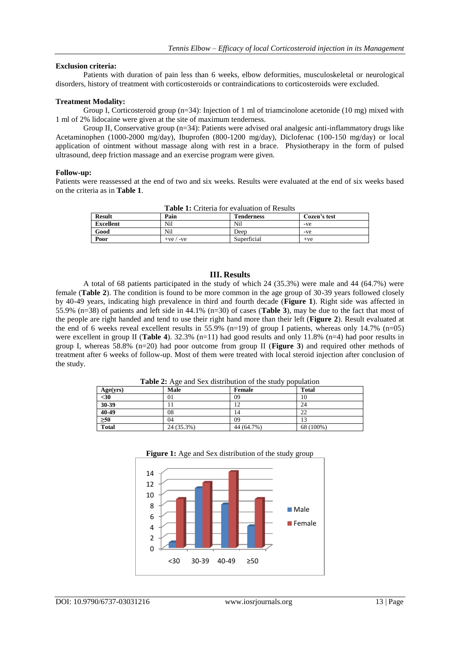#### **Exclusion criteria:**

Patients with duration of pain less than 6 weeks, elbow deformities, musculoskeletal or neurological disorders, history of treatment with corticosteroids or contraindications to corticosteroids were excluded.

#### **Treatment Modality:**

Group I, Corticosteroid group (n=34): Injection of 1 ml of triamcinolone acetonide (10 mg) mixed with 1 ml of 2% lidocaine were given at the site of maximum tenderness.

Group II, Conservative group (n=34): Patients were advised oral analgesic anti-inflammatory drugs like Acetaminophen (1000-2000 mg/day), Ibuprofen (800-1200 mg/day), Diclofenac (100-150 mg/day) or local application of ointment without massage along with rest in a brace. Physiotherapy in the form of pulsed ultrasound, deep friction massage and an exercise program were given.

#### **Follow-up:**

Patients were reassessed at the end of two and six weeks. Results were evaluated at the end of six weeks based on the criteria as in **Table 1**.

| <b>Table 1.</b> Chiena for evaluation of Results |             |                   |              |  |
|--------------------------------------------------|-------------|-------------------|--------------|--|
| <b>Result</b>                                    | Pain        | <b>Tenderness</b> | Cozen's test |  |
| <b>Excellent</b>                                 | Nil         | Nil               | -ve          |  |
| Good                                             | Nil         | Deep              | -ve          |  |
| Poor                                             | $+ve / -ve$ | Superficial       | $+ve$        |  |

**Table 1:** Criteria for evaluation of Results

## **III. Results**

A total of 68 patients participated in the study of which 24 (35.3%) were male and 44 (64.7%) were female (**Table 2**). The condition is found to be more common in the age group of 30-39 years followed closely by 40-49 years, indicating high prevalence in third and fourth decade (**Figure 1**). Right side was affected in 55.9% (n=38) of patients and left side in 44.1% (n=30) of cases (**Table 3**), may be due to the fact that most of the people are right handed and tend to use their right hand more than their left (**Figure 2**). Result evaluated at the end of 6 weeks reveal excellent results in 55.9% (n=19) of group I patients, whereas only 14.7% (n=05) were excellent in group II (**Table 4**). 32.3% (n=11) had good results and only 11.8% (n=4) had poor results in group I, whereas 58.8% (n=20) had poor outcome from group II (**Figure 3**) and required other methods of treatment after 6 weeks of follow-up. Most of them were treated with local steroid injection after conclusion of the study.

**Table 2:** Age and Sex distribution of the study population

|                                       | Male       | Female     | <b>Total</b> |
|---------------------------------------|------------|------------|--------------|
| $\frac{\text{Age(yrs)}}{\textless}30$ | 01         | 09         | 10           |
|                                       |            | 12         | 24           |
| $\frac{30-39}{40-49}$                 | 08         | 14         | 22           |
| $\geq 50$                             | 04         | 09         |              |
| <b>Total</b>                          | 24 (35.3%) | 44 (64.7%) | 68 (100%)    |



**Figure 1:** Age and Sex distribution of the study group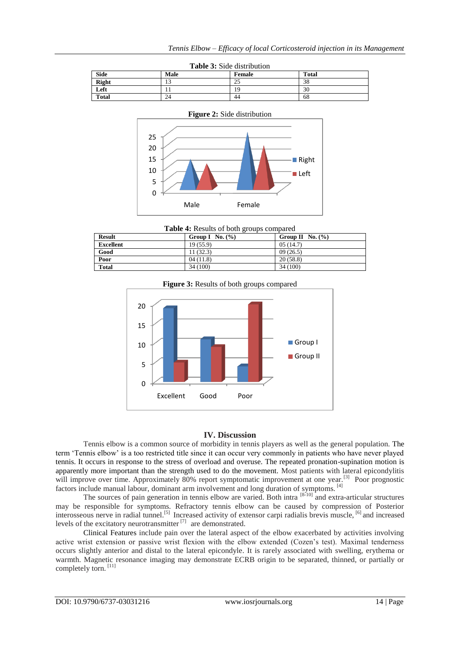| <b>Table 3:</b> Side distribution |        |        |              |  |  |
|-----------------------------------|--------|--------|--------------|--|--|
| <b>Side</b>                       | Male   | Female | <b>Total</b> |  |  |
| Right                             | $\sim$ | 25     | 38           |  |  |
| Left                              |        | 19     | 30           |  |  |
| <b>Total</b>                      | 24     | 44     | 68           |  |  |





**Table 4:** Results of both groups compared

| <b>Result</b>    | Group I No. $(\% )$ | Group II No. $(\%)$ |
|------------------|---------------------|---------------------|
| <b>Excellent</b> | 19(55.9)            | 05(14.7)            |
| Good             | 11(32.3)            | 09(26.5)            |
| Poor             | 04(11.8)            | 20(58.8)            |
| <b>Total</b>     | 34 (100)            | 34 (100)            |

**Figure 3:** Results of both groups compared



# **IV. Discussion**

Tennis elbow is a common source of morbidity in tennis players as well as the general population. The term "Tennis elbow" is a too restricted title since it can occur very commonly in patients who have never played tennis. It occurs in response to the stress of overload and overuse. The repeated pronation-supination motion is apparently more important than the strength used to do the movement. Most patients with lateral epicondylitis will improve over time. Approximately 80% report symptomatic improvement at one year.<sup>[3]</sup> Poor prognostic factors include manual labour, dominant arm involvement and long duration of symptoms. [4]

The sources of pain generation in tennis elbow are varied. Both intra  $[8\cdot 10]$  and extra-articular structures may be responsible for symptoms. Refractory tennis elbow can be caused by compression of Posterior interosseous nerve in radial tunnel.<sup>[5]</sup> Increased activity of extensor carpi radialis brevis muscle, <sup>[6]</sup> and increased levels of the excitatory neurotransmitter  $^{[7]}$  are demonstrated.

Clinical Features include pain over the lateral aspect of the elbow exacerbated by activities involving active wrist extension or passive wrist flexion with the elbow extended (Cozen"s test). Maximal tenderness occurs slightly anterior and distal to the lateral epicondyle. It is rarely associated with swelling, erythema or warmth. Magnetic resonance imaging may demonstrate ECRB origin to be separated, thinned, or partially or completely torn.<sup>[11]</sup>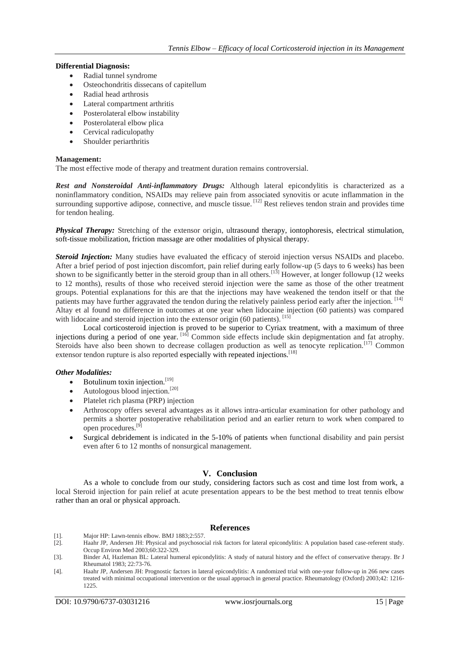#### **Differential Diagnosis:**

- Radial tunnel syndrome
- Osteochondritis dissecans of capitellum
- Radial head arthrosis
- Lateral compartment arthritis
- Posterolateral elbow instability
- Posterolateral elbow plica
- Cervical radiculopathy
- Shoulder periarthritis

#### **Management:**

The most effective mode of therapy and treatment duration remains controversial.

*Rest and Nonsteroidal Anti-inflammatory Drugs:* Although lateral epicondylitis is characterized as a noninflammatory condition, NSAIDs may relieve pain from associated synovitis or acute inflammation in the surrounding supportive adipose, connective, and muscle tissue. [12] Rest relieves tendon strain and provides time for tendon healing.

*Physical Therapy:* Stretching of the extensor origin, ultrasound therapy, iontophoresis, electrical stimulation, soft-tissue mobilization, friction massage are other modalities of physical therapy.

*Steroid Injection:* Many studies have evaluated the efficacy of steroid injection versus NSAIDs and placebo. After a brief period of post injection discomfort, pain relief during early follow-up (5 days to 6 weeks) has been shown to be significantly better in the steroid group than in all others.<sup>[13]</sup> However, at longer followup (12 weeks to 12 months), results of those who received steroid injection were the same as those of the other treatment groups. Potential explanations for this are that the injections may have weakened the tendon itself or that the patients may have further aggravated the tendon during the relatively painless period early after the injection. [14] Altay et al found no difference in outcomes at one year when lidocaine injection (60 patients) was compared with lidocaine and steroid injection into the extensor origin  $(60 \text{ patients})$ . [15]

Local corticosteroid injection is proved to be superior to Cyriax treatment, with a maximum of three injections during a period of one year. [16] Common side effects include skin depigmentation and fat atrophy. Steroids have also been shown to decrease collagen production as well as tenocyte replication.<sup>[17]</sup> Common extensor tendon rupture is also reported especially with repeated injections.<sup>[18]</sup>

#### *Other Modalities:*

- Botulinum toxin injection.<sup>[19]</sup>
- Autologous blood injection.<sup>[20]</sup>
- Platelet rich plasma (PRP) injection
- Arthroscopy offers several advantages as it allows intra-articular examination for other pathology and permits a shorter postoperative rehabilitation period and an earlier return to work when compared to open procedures.[9]
- Surgical debridement is indicated in the 5-10% of patients when functional disability and pain persist even after 6 to 12 months of nonsurgical management.

# **V. Conclusion**

As a whole to conclude from our study, considering factors such as cost and time lost from work, a local Steroid injection for pain relief at acute presentation appears to be the best method to treat tennis elbow rather than an oral or physical approach.

#### **References**

- [1]. Major HP: Lawn-tennis elbow. BMJ 1883;2:557.
- [2]. Haahr JP, Andersen JH: Physical and psychosocial risk factors for lateral epicondylitis: A population based case-referent study. Occup Environ Med 2003;60:322-329.
- [3]. Binder AI, Hazleman BL: Lateral humeral epicondylitis: A study of natural history and the effect of conservative therapy. Br J Rheumatol 1983; 22:73-76.
- [4]. Haahr JP, Andersen JH: Prognostic factors in lateral epicondylitis: A randomized trial with one-year follow-up in 266 new cases treated with minimal occupational intervention or the usual approach in general practice. Rheumatology (Oxford) 2003;42: 1216- 1225.